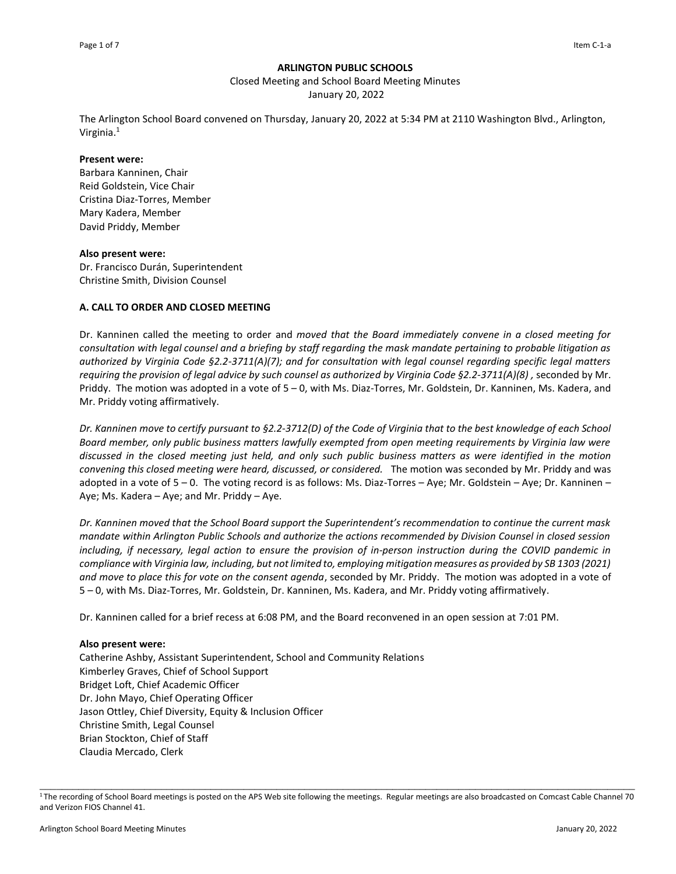### **ARLINGTON PUBLIC SCHOOLS**

Closed Meeting and School Board Meeting Minutes

January 20, 2022

The Arlington School Board convened on Thursday, January 20, 2022 at 5:34 PM at 2110 Washington Blvd., Arlington, Virginia.<sup>1</sup>

#### **Present were:**

Barbara Kanninen, Chair Reid Goldstein, Vice Chair Cristina Diaz-Torres, Member Mary Kadera, Member David Priddy, Member

### **Also present were:**

Dr. Francisco Durán, Superintendent Christine Smith, Division Counsel

### **A. CALL TO ORDER AND CLOSED MEETING**

Dr. Kanninen called the meeting to order and *moved that the Board immediately convene in a closed meeting for consultation with legal counsel and a briefing by staff regarding the mask mandate pertaining to probable litigation as authorized by Virginia Code §2.2-3711(A)(7); and for consultation with legal counsel regarding specific legal matters requiring the provision of legal advice by such counsel as authorized by Virginia Code §2.2-3711(A)(8) ,* seconded by Mr. Priddy. The motion was adopted in a vote of 5 – 0, with Ms. Diaz-Torres, Mr. Goldstein, Dr. Kanninen, Ms. Kadera, and Mr. Priddy voting affirmatively.

*Dr. Kanninen move to certify pursuant to §2.2-3712(D) of the Code of Virginia that to the best knowledge of each School Board member, only public business matters lawfully exempted from open meeting requirements by Virginia law were discussed in the closed meeting just held, and only such public business matters as were identified in the motion convening this closed meeting were heard, discussed, or considered.* The motion was seconded by Mr. Priddy and was adopted in a vote of 5 – 0. The voting record is as follows: Ms. Diaz-Torres – Aye; Mr. Goldstein – Aye; Dr. Kanninen – Aye; Ms. Kadera – Aye; and Mr. Priddy – Aye.

*Dr. Kanninen moved that the School Board support the Superintendent's recommendation to continue the current mask mandate within Arlington Public Schools and authorize the actions recommended by Division Counsel in closed session including, if necessary, legal action to ensure the provision of in-person instruction during the COVID pandemic in compliance with Virginia law, including, but not limited to, employing mitigation measures as provided by SB 1303 (2021) and move to place this for vote on the consent agenda*, seconded by Mr. Priddy. The motion was adopted in a vote of 5 – 0, with Ms. Diaz-Torres, Mr. Goldstein, Dr. Kanninen, Ms. Kadera, and Mr. Priddy voting affirmatively.

Dr. Kanninen called for a brief recess at 6:08 PM, and the Board reconvened in an open session at 7:01 PM.

### **Also present were:**

Catherine Ashby, Assistant Superintendent, School and Community Relations Kimberley Graves, Chief of School Support Bridget Loft, Chief Academic Officer Dr. John Mayo, Chief Operating Officer Jason Ottley, Chief Diversity, Equity & Inclusion Officer Christine Smith, Legal Counsel Brian Stockton, Chief of Staff Claudia Mercado, Clerk

\_\_\_\_\_\_\_\_\_\_\_\_\_\_\_\_\_\_\_\_\_\_\_\_\_\_\_\_\_\_\_\_\_\_\_\_\_\_\_\_\_\_\_\_\_\_\_\_\_\_\_\_\_\_\_\_\_\_\_\_\_\_\_\_\_\_\_\_\_\_\_\_\_\_\_\_\_\_\_\_\_\_\_\_\_\_\_\_\_\_\_\_\_\_\_\_\_\_\_\_\_\_\_\_\_\_\_\_ <sup>1</sup>The recording of School Board meetings is posted on the APS Web site following the meetings. Regular meetings are also broadcasted on Comcast Cable Channel 70 and Verizon FIOS Channel 41.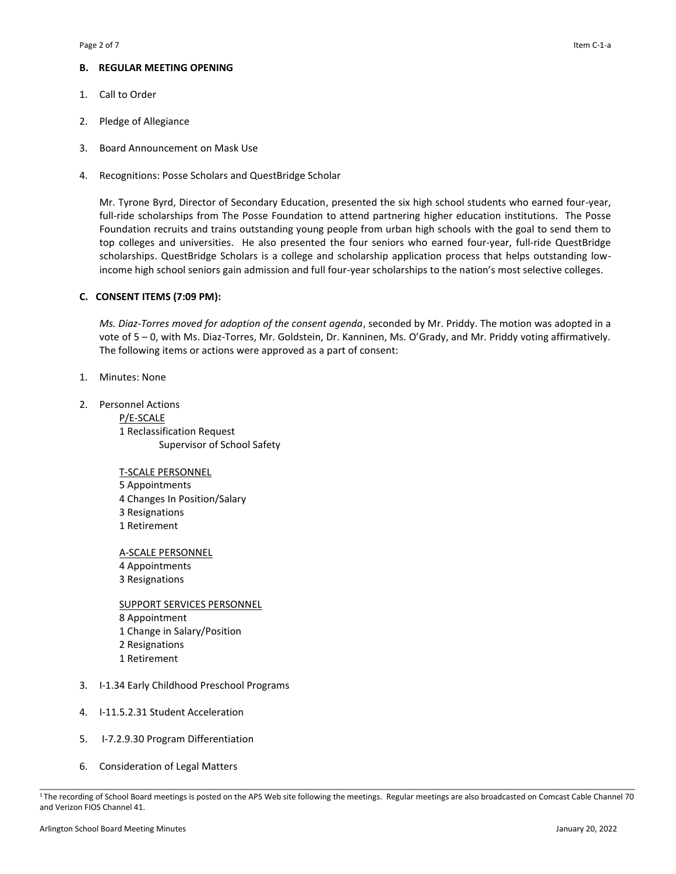# **B. REGULAR MEETING OPENING**

- 1. Call to Order
- 2. Pledge of Allegiance
- 3. Board Announcement on Mask Use
- 4. Recognitions: Posse Scholars and QuestBridge Scholar

Mr. Tyrone Byrd, Director of Secondary Education, presented the six high school students who earned four-year, full-ride scholarships from The Posse Foundation to attend partnering higher education institutions. The Posse Foundation recruits and trains outstanding young people from urban high schools with the goal to send them to top colleges and universities. He also presented the four seniors who earned four-year, full-ride QuestBridge scholarships. QuestBridge Scholars is a college and scholarship application process that helps outstanding lowincome high school seniors gain admission and full four-year scholarships to the nation's most selective colleges.

### **C. CONSENT ITEMS (7:09 PM):**

*Ms. Diaz-Torres moved for adoption of the consent agenda*, seconded by Mr. Priddy. The motion was adopted in a vote of 5 – 0, with Ms. Diaz-Torres, Mr. Goldstein, Dr. Kanninen, Ms. O'Grady, and Mr. Priddy voting affirmatively. The following items or actions were approved as a part of consent:

- 1. Minutes: None
- 2. Personnel Actions P/E-SCALE 1 Reclassification Request Supervisor of School Safety
	- T-SCALE PERSONNEL
	- 5 Appointments 4 Changes In Position/Salary 3 Resignations 1 Retirement

A-SCALE PERSONNEL

- 4 Appointments
- 3 Resignations

SUPPORT SERVICES PERSONNEL 8 Appointment 1 Change in Salary/Position 2 Resignations 1 Retirement

- 3. I-1.34 Early Childhood Preschool Programs
- 4. I-11.5.2.31 Student Acceleration
- 5. I-7.2.9.30 Program Differentiation
- 6. Consideration of Legal Matters

\_\_\_\_\_\_\_\_\_\_\_\_\_\_\_\_\_\_\_\_\_\_\_\_\_\_\_\_\_\_\_\_\_\_\_\_\_\_\_\_\_\_\_\_\_\_\_\_\_\_\_\_\_\_\_\_\_\_\_\_\_\_\_\_\_\_\_\_\_\_\_\_\_\_\_\_\_\_\_\_\_\_\_\_\_\_\_\_\_\_\_\_\_\_\_\_\_\_\_\_\_\_\_\_\_\_\_\_ <sup>1</sup>The recording of School Board meetings is posted on the APS Web site following the meetings. Regular meetings are also broadcasted on Comcast Cable Channel 70 and Verizon FIOS Channel 41.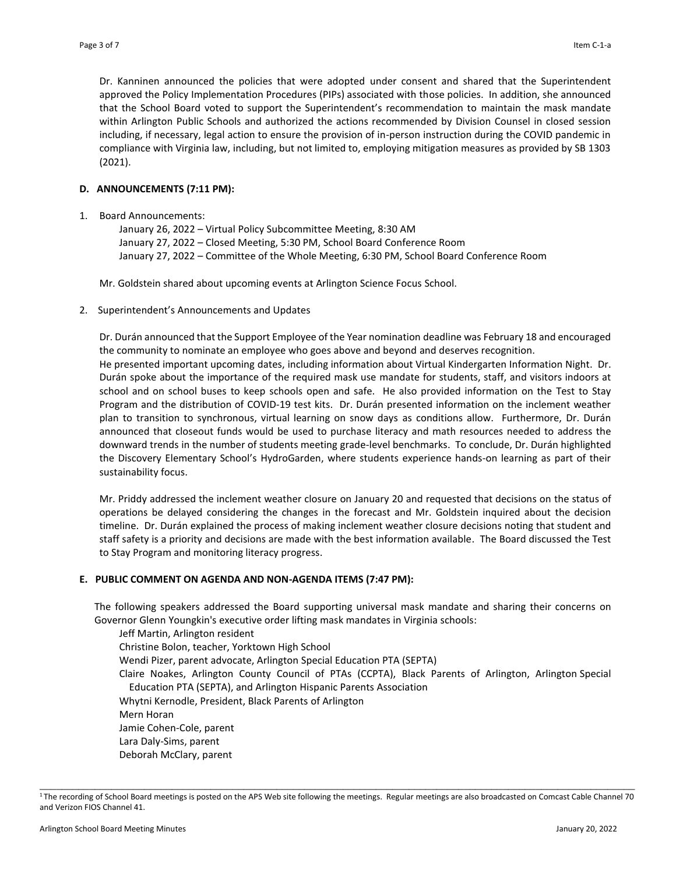Dr. Kanninen announced the policies that were adopted under consent and shared that the Superintendent approved the Policy Implementation Procedures (PIPs) associated with those policies. In addition, she announced that the School Board voted to support the Superintendent's recommendation to maintain the mask mandate within Arlington Public Schools and authorized the actions recommended by Division Counsel in closed session including, if necessary, legal action to ensure the provision of in-person instruction during the COVID pandemic in compliance with Virginia law, including, but not limited to, employing mitigation measures as provided by SB 1303 (2021).

# **D. ANNOUNCEMENTS (7:11 PM):**

1. Board Announcements:

January 26, 2022 – Virtual Policy Subcommittee Meeting, 8:30 AM January 27, 2022 – Closed Meeting, 5:30 PM, School Board Conference Room January 27, 2022 – Committee of the Whole Meeting, 6:30 PM, School Board Conference Room

Mr. Goldstein shared about upcoming events at Arlington Science Focus School.

2. Superintendent's Announcements and Updates

Dr. Durán announced that the Support Employee of the Year nomination deadline was February 18 and encouraged the community to nominate an employee who goes above and beyond and deserves recognition. He presented important upcoming dates, including information about Virtual Kindergarten Information Night. Dr. Durán spoke about the importance of the required mask use mandate for students, staff, and visitors indoors at school and on school buses to keep schools open and safe. He also provided information on the Test to Stay Program and the distribution of COVID-19 test kits. Dr. Durán presented information on the inclement weather plan to transition to synchronous, virtual learning on snow days as conditions allow. Furthermore, Dr. Durán announced that closeout funds would be used to purchase literacy and math resources needed to address the downward trends in the number of students meeting grade-level benchmarks. To conclude, Dr. Durán highlighted the Discovery Elementary School's HydroGarden, where students experience hands-on learning as part of their sustainability focus.

Mr. Priddy addressed the inclement weather closure on January 20 and requested that decisions on the status of operations be delayed considering the changes in the forecast and Mr. Goldstein inquired about the decision timeline. Dr. Durán explained the process of making inclement weather closure decisions noting that student and staff safety is a priority and decisions are made with the best information available. The Board discussed the Test to Stay Program and monitoring literacy progress.

# **E. PUBLIC COMMENT ON AGENDA AND NON-AGENDA ITEMS (7:47 PM):**

The following speakers addressed the Board supporting universal mask mandate and sharing their concerns on Governor Glenn Youngkin's executive order lifting mask mandates in Virginia schools:

Jeff Martin, Arlington resident Christine Bolon, teacher, Yorktown High School Wendi Pizer, parent advocate, Arlington Special Education PTA (SEPTA) Claire Noakes, Arlington County Council of PTAs (CCPTA), Black Parents of Arlington, Arlington Special Education PTA (SEPTA), and Arlington Hispanic Parents Association Whytni Kernodle, President, Black Parents of Arlington Mern Horan Jamie Cohen-Cole, parent Lara Daly-Sims, parent Deborah McClary, parent

\_\_\_\_\_\_\_\_\_\_\_\_\_\_\_\_\_\_\_\_\_\_\_\_\_\_\_\_\_\_\_\_\_\_\_\_\_\_\_\_\_\_\_\_\_\_\_\_\_\_\_\_\_\_\_\_\_\_\_\_\_\_\_\_\_\_\_\_\_\_\_\_\_\_\_\_\_\_\_\_\_\_\_\_\_\_\_\_\_\_\_\_\_\_\_\_\_\_\_\_\_\_\_\_\_\_\_\_ <sup>1</sup>The recording of School Board meetings is posted on the APS Web site following the meetings. Regular meetings are also broadcasted on Comcast Cable Channel 70 and Verizon FIOS Channel 41.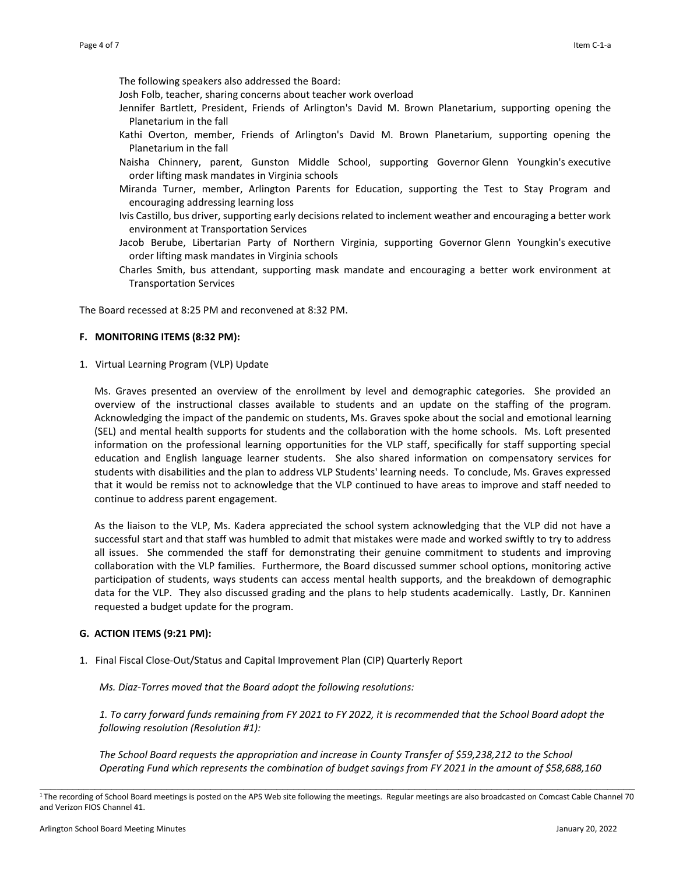The following speakers also addressed the Board:

Josh Folb, teacher, sharing concerns about teacher work overload

- Jennifer Bartlett, President, Friends of Arlington's David M. Brown Planetarium, supporting opening the Planetarium in the fall
- Kathi Overton, member, Friends of Arlington's David M. Brown Planetarium, supporting opening the Planetarium in the fall
- Naisha Chinnery, parent, Gunston Middle School, supporting Governor Glenn Youngkin's executive order lifting mask mandates in Virginia schools
- Miranda Turner, member, Arlington Parents for Education, supporting the Test to Stay Program and encouraging addressing learning loss
- Ivis Castillo, bus driver, supporting early decisions related to inclement weather and encouraging a better work environment at Transportation Services
- Jacob Berube, Libertarian Party of Northern Virginia, supporting Governor Glenn Youngkin's executive order lifting mask mandates in Virginia schools
- Charles Smith, bus attendant, supporting mask mandate and encouraging a better work environment at Transportation Services

The Board recessed at 8:25 PM and reconvened at 8:32 PM.

### **F. MONITORING ITEMS (8:32 PM):**

1. Virtual Learning Program (VLP) Update

Ms. Graves presented an overview of the enrollment by level and demographic categories. She provided an overview of the instructional classes available to students and an update on the staffing of the program. Acknowledging the impact of the pandemic on students, Ms. Graves spoke about the social and emotional learning (SEL) and mental health supports for students and the collaboration with the home schools. Ms. Loft presented information on the professional learning opportunities for the VLP staff, specifically for staff supporting special education and English language learner students. She also shared information on compensatory services for students with disabilities and the plan to address VLP Students' learning needs. To conclude, Ms. Graves expressed that it would be remiss not to acknowledge that the VLP continued to have areas to improve and staff needed to continue to address parent engagement.

As the liaison to the VLP, Ms. Kadera appreciated the school system acknowledging that the VLP did not have a successful start and that staff was humbled to admit that mistakes were made and worked swiftly to try to address all issues. She commended the staff for demonstrating their genuine commitment to students and improving collaboration with the VLP families. Furthermore, the Board discussed summer school options, monitoring active participation of students, ways students can access mental health supports, and the breakdown of demographic data for the VLP. They also discussed grading and the plans to help students academically. Lastly, Dr. Kanninen requested a budget update for the program.

### **G. ACTION ITEMS (9:21 PM):**

1. Final Fiscal Close-Out/Status and Capital Improvement Plan (CIP) Quarterly Report

*Ms. Diaz-Torres moved that the Board adopt the following resolutions:*

*1. To carry forward funds remaining from FY 2021 to FY 2022, it is recommended that the School Board adopt the following resolution (Resolution #1):*

*The School Board requests the appropriation and increase in County Transfer of \$59,238,212 to the School Operating Fund which represents the combination of budget savings from FY 2021 in the amount of \$58,688,160* 

\_\_\_\_\_\_\_\_\_\_\_\_\_\_\_\_\_\_\_\_\_\_\_\_\_\_\_\_\_\_\_\_\_\_\_\_\_\_\_\_\_\_\_\_\_\_\_\_\_\_\_\_\_\_\_\_\_\_\_\_\_\_\_\_\_\_\_\_\_\_\_\_\_\_\_\_\_\_\_\_\_\_\_\_\_\_\_\_\_\_\_\_\_\_\_\_\_\_\_\_\_\_\_\_\_\_\_\_ <sup>1</sup>The recording of School Board meetings is posted on the APS Web site following the meetings. Regular meetings are also broadcasted on Comcast Cable Channel 70 and Verizon FIOS Channel 41.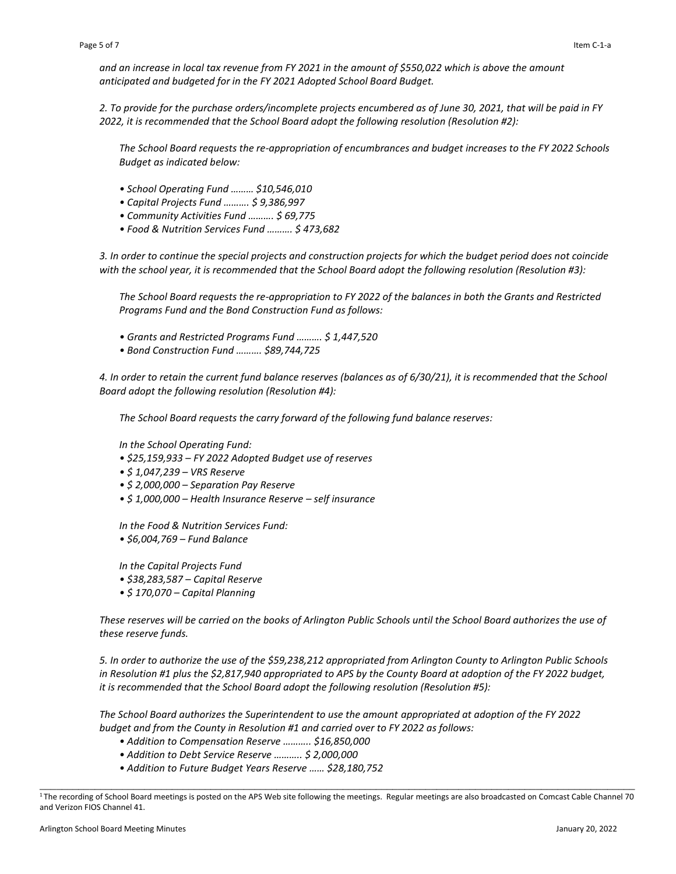*and an increase in local tax revenue from FY 2021 in the amount of \$550,022 which is above the amount anticipated and budgeted for in the FY 2021 Adopted School Board Budget.*

*2. To provide for the purchase orders/incomplete projects encumbered as of June 30, 2021, that will be paid in FY 2022, it is recommended that the School Board adopt the following resolution (Resolution #2):*

*The School Board requests the re-appropriation of encumbrances and budget increases to the FY 2022 Schools Budget as indicated below:* 

- *School Operating Fund ……… \$10,546,010*
- *Capital Projects Fund ………. \$ 9,386,997*
- *Community Activities Fund ………. \$ 69,775*
- *Food & Nutrition Services Fund ………. \$ 473,682*

*3. In order to continue the special projects and construction projects for which the budget period does not coincide with the school year, it is recommended that the School Board adopt the following resolution (Resolution #3):*

*The School Board requests the re-appropriation to FY 2022 of the balances in both the Grants and Restricted Programs Fund and the Bond Construction Fund as follows:* 

- *Grants and Restricted Programs Fund ………. \$ 1,447,520*
- *Bond Construction Fund ………. \$89,744,725*

*4. In order to retain the current fund balance reserves (balances as of 6/30/21), it is recommended that the School Board adopt the following resolution (Resolution #4):*

*The School Board requests the carry forward of the following fund balance reserves:*

*In the School Operating Fund:* 

- *\$25,159,933 – FY 2022 Adopted Budget use of reserves*
- *\$ 1,047,239 – VRS Reserve*
- *\$ 2,000,000 – Separation Pay Reserve*
- *\$ 1,000,000 – Health Insurance Reserve – self insurance*

*In the Food & Nutrition Services Fund:* 

*• \$6,004,769 – Fund Balance* 

*In the Capital Projects Fund* 

- *\$38,283,587 – Capital Reserve*
- *\$ 170,070 – Capital Planning*

*These reserves will be carried on the books of Arlington Public Schools until the School Board authorizes the use of these reserve funds.*

*5. In order to authorize the use of the \$59,238,212 appropriated from Arlington County to Arlington Public Schools in Resolution #1 plus the \$2,817,940 appropriated to APS by the County Board at adoption of the FY 2022 budget, it is recommended that the School Board adopt the following resolution (Resolution #5):*

*The School Board authorizes the Superintendent to use the amount appropriated at adoption of the FY 2022 budget and from the County in Resolution #1 and carried over to FY 2022 as follows:*

- *Addition to Compensation Reserve ……….. \$16,850,000*
- *Addition to Debt Service Reserve ……….. \$ 2,000,000*
- *Addition to Future Budget Years Reserve …… \$28,180,752*

\_\_\_\_\_\_\_\_\_\_\_\_\_\_\_\_\_\_\_\_\_\_\_\_\_\_\_\_\_\_\_\_\_\_\_\_\_\_\_\_\_\_\_\_\_\_\_\_\_\_\_\_\_\_\_\_\_\_\_\_\_\_\_\_\_\_\_\_\_\_\_\_\_\_\_\_\_\_\_\_\_\_\_\_\_\_\_\_\_\_\_\_\_\_\_\_\_\_\_\_\_\_\_\_\_\_\_\_ <sup>1</sup>The recording of School Board meetings is posted on the APS Web site following the meetings. Regular meetings are also broadcasted on Comcast Cable Channel 70 and Verizon FIOS Channel 41.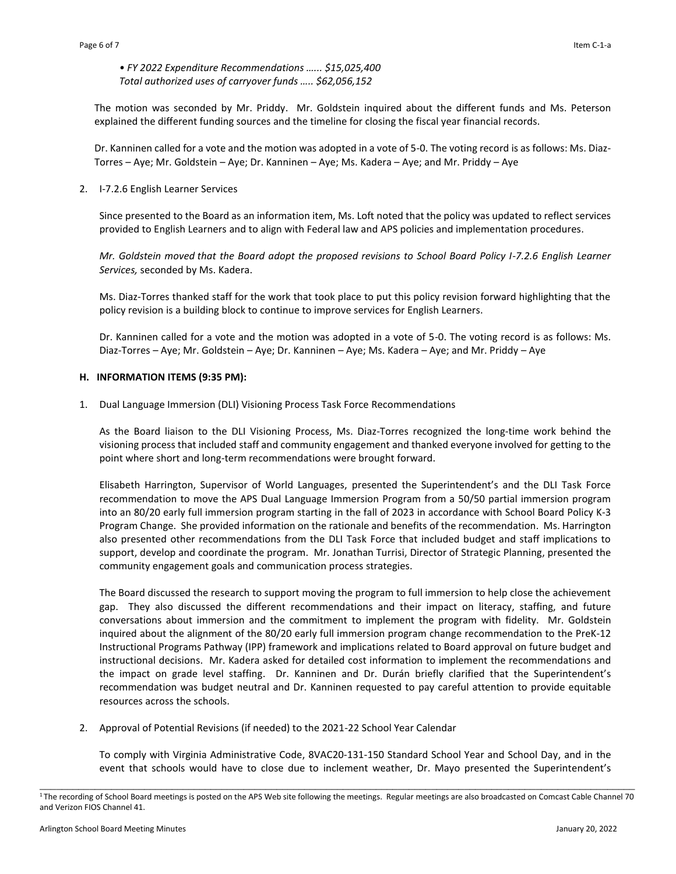*• FY 2022 Expenditure Recommendations …... \$15,025,400 Total authorized uses of carryover funds ….. \$62,056,152*

The motion was seconded by Mr. Priddy. Mr. Goldstein inquired about the different funds and Ms. Peterson explained the different funding sources and the timeline for closing the fiscal year financial records.

Dr. Kanninen called for a vote and the motion was adopted in a vote of 5-0. The voting record is as follows: Ms. Diaz-Torres – Aye; Mr. Goldstein – Aye; Dr. Kanninen – Aye; Ms. Kadera – Aye; and Mr. Priddy – Aye

2. I-7.2.6 English Learner Services 

Since presented to the Board as an information item, Ms. Loft noted that the policy was updated to reflect services provided to English Learners and to align with Federal law and APS policies and implementation procedures.

*Mr. Goldstein moved that the Board adopt the proposed revisions to School Board Policy I-7.2.6 English Learner Services,* seconded by Ms. Kadera.

Ms. Diaz-Torres thanked staff for the work that took place to put this policy revision forward highlighting that the policy revision is a building block to continue to improve services for English Learners.

Dr. Kanninen called for a vote and the motion was adopted in a vote of 5-0. The voting record is as follows: Ms. Diaz-Torres – Aye; Mr. Goldstein – Aye; Dr. Kanninen – Aye; Ms. Kadera – Aye; and Mr. Priddy – Aye

### **H. INFORMATION ITEMS (9:35 PM):**

1. Dual Language Immersion (DLI) Visioning Process Task Force Recommendations

As the Board liaison to the DLI Visioning Process, Ms. Diaz-Torres recognized the long-time work behind the visioning process that included staff and community engagement and thanked everyone involved for getting to the point where short and long-term recommendations were brought forward.

Elisabeth Harrington, Supervisor of World Languages, presented the Superintendent's and the DLI Task Force recommendation to move the APS Dual Language Immersion Program from a 50/50 partial immersion program into an 80/20 early full immersion program starting in the fall of 2023 in accordance with School Board Policy K-3 Program Change. She provided information on the rationale and benefits of the recommendation. Ms. Harrington also presented other recommendations from the DLI Task Force that included budget and staff implications to support, develop and coordinate the program. Mr. [Jonathan Turrisi,](mailto:jonathan.turrisi@apsva.us) Director of Strategic Planning, presented the community engagement goals and communication process strategies.

The Board discussed the research to support moving the program to full immersion to help close the achievement gap. They also discussed the different recommendations and their impact on literacy, staffing, and future conversations about immersion and the commitment to implement the program with fidelity. Mr. Goldstein inquired about the alignment of the 80/20 early full immersion program change recommendation to the PreK-12 Instructional Programs Pathway (IPP) framework and implications related to Board approval on future budget and instructional decisions. Mr. Kadera asked for detailed cost information to implement the recommendations and the impact on grade level staffing. Dr. Kanninen and Dr. Durán briefly clarified that the Superintendent's recommendation was budget neutral and Dr. Kanninen requested to pay careful attention to provide equitable resources across the schools.

2. Approval of Potential Revisions (if needed) to the 2021-22 School Year Calendar

To comply with Virginia Administrative Code, 8VAC20-131-150 Standard School Year and School Day, and in the event that schools would have to close due to inclement weather, Dr. Mayo presented the Superintendent's

\_\_\_\_\_\_\_\_\_\_\_\_\_\_\_\_\_\_\_\_\_\_\_\_\_\_\_\_\_\_\_\_\_\_\_\_\_\_\_\_\_\_\_\_\_\_\_\_\_\_\_\_\_\_\_\_\_\_\_\_\_\_\_\_\_\_\_\_\_\_\_\_\_\_\_\_\_\_\_\_\_\_\_\_\_\_\_\_\_\_\_\_\_\_\_\_\_\_\_\_\_\_\_\_\_\_\_\_ <sup>1</sup>The recording of School Board meetings is posted on the APS Web site following the meetings. Regular meetings are also broadcasted on Comcast Cable Channel 70 and Verizon FIOS Channel 41.